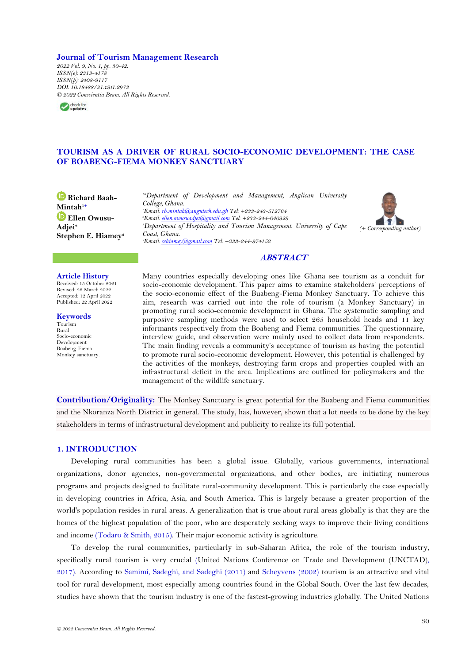## **Journal of Tourism Management Research**

*2022 Vol. 9, No. 1, pp. 30-42. ISSN(e): 2313-4178 ISSN(p): 2408-9117 DOI: 10.18488/31.v9i1.2973 © 2022 Conscientia Beam. All Rights Reserved.*



# **TOURISM AS A DRIVER OF RURAL SOCIO-ECONOMIC DEVELOPMENT: THE CASE OF BOABENG-FIEMA MONKEY SANCTUARY**

**Richard Baah-Mintah1+ Ellen Owusu-Adjei<sup>2</sup> Stephen E. Hiamey<sup>3</sup>** *1,2Department of Development and Management, Anglican University College, Ghana. <sup>1</sup>Email[: rb.mintah@angutech.edu.gh](mailto:rb.mintah@angutech.edu.gh) Tel: +233-243-512764 <sup>2</sup>Email[: ellen.owusuadjei@gmail.com](mailto:ellen.owusuadjei@gmail.com) Tel: +233-244-040929 <sup>3</sup>Department of Hospitality and Tourism Management, University of Cape Coast, Ghana. <sup>3</sup>Email[: sehiamey@gmail.com](mailto:sehiamey@gmail.com) Tel: +233-244-974152*



## **ABSTRACT**

**Article History** Received: 15 October 2021 Revised: 28 March 2022 Accepted: 12 April 2022 Published: 22 April 2022

**Keywords** Tourism Rural Socio-economic Development Boabeng-Fiema

Monkey sanctuary.

Many countries especially developing ones like Ghana see tourism as a conduit for socio-economic development. This paper aims to examine stakeholders' perceptions of the socio-economic effect of the Buabeng-Fiema Monkey Sanctuary. To achieve this aim, research was carried out into the role of tourism (a Monkey Sanctuary) in promoting rural socio-economic development in Ghana. The systematic sampling and purposive sampling methods were used to select 265 household heads and 11 key informants respectively from the Boabeng and Fiema communities. The questionnaire, interview guide, and observation were mainly used to collect data from respondents. The main finding reveals a community's acceptance of tourism as having the potential to promote rural socio-economic development. However, this potential is challenged by the activities of the monkeys, destroying farm crops and properties coupled with an infrastructural deficit in the area. Implications are outlined for policymakers and the management of the wildlife sanctuary.

**Contribution/Originality:** The Monkey Sanctuary is great potential for the Boabeng and Fiema communities and the Nkoranza North District in general. The study, has, however, shown that a lot needs to be done by the key stakeholders in terms of infrastructural development and publicity to realize its full potential.

## **1. INTRODUCTION**

Developing rural communities has been a global issue. Globally, various governments, international organizations, donor agencies, non-governmental organizations, and other bodies, are initiating numerous programs and projects designed to facilitate rural-community development. This is particularly the case especially in developing countries in Africa, Asia, and South America. This is largely because a greater proportion of the world's population resides in rural areas. A generalization that is true about rural areas globally is that they are the homes of the highest population of the poor, who are desperately seeking ways to improve their living conditions and income [\(Todaro & Smith, 2015\)](#page-12-0). Their major economic activity is agriculture.

To develop the rural communities, particularly in sub-Saharan Africa, the role of the tourism industry, specifically rural tourism is very crucial [\(United Nations Conference on Trade and Development \(UNCTAD\),](#page-12-1)  [2017\)](#page-12-1). According to [Samimi, Sadeghi, and](#page-12-2) Sadeghi (2011) and [Scheyvens \(2002\)](#page-12-3) tourism is an attractive and vital tool for rural development, most especially among countries found in the Global South. Over the last few decades, studies have shown that the tourism industry is one of the fastest-growing industries globally. The United Nations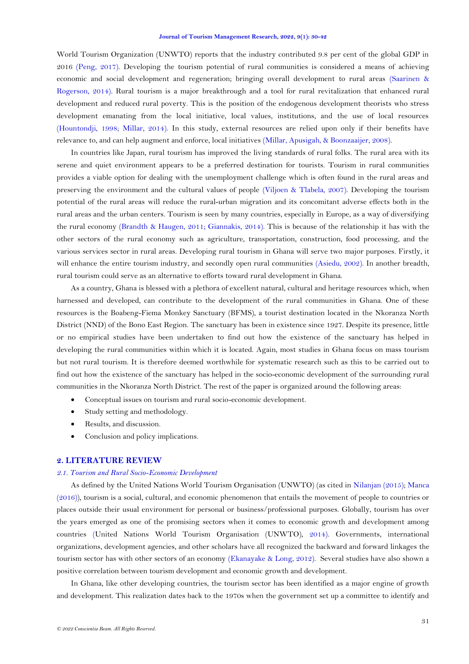World Tourism Organization (UNWTO) reports that the industry contributed 9.8 per cent of the global GDP in 2016 [\(Peng, 2017\)](#page-12-4). Developing the tourism potential of rural communities is considered a means of achieving economic and social development and regeneration; bringing overall development to rural areas [\(Saarinen &](#page-12-5)  [Rogerson, 2014\)](#page-12-5). Rural tourism is a major breakthrough and a tool for rural revitalization that enhanced rural development and reduced rural poverty. This is the position of the endogenous development theorists who stress development emanating from the local initiative, local values, institutions, and the use of local resources [\(Hountondji, 1998;](#page-12-6) [Millar, 2014\)](#page-12-7). In this study, external resources are relied upon only if their benefits have relevance to, and can help augment and enforce, local initiatives [\(Millar, Apusigah, & Boonzaaijer, 2008\)](#page-12-8).

In countries like Japan, rural tourism has improved the living standards of rural folks. The rural area with its serene and quiet environment appears to be a preferred destination for tourists. Tourism in rural communities provides a viable option for dealing with the unemployment challenge which is often found in the rural areas and preserving the environment and the cultural values of people [\(Viljoen & Tlabela, 2007\)](#page-12-9). Developing the tourism potential of the rural areas will reduce the rural-urban migration and its concomitant adverse effects both in the rural areas and the urban centers. Tourism is seen by many countries, especially in Europe, as a way of diversifying the rural economy [\(Brandth & Haugen, 2011;](#page-11-0) [Giannakis, 2014\)](#page-11-1). This is because of the relationship it has with the other sectors of the rural economy such as agriculture, transportation, construction, food processing, and the various services sector in rural areas. Developing rural tourism in Ghana will serve two major purposes. Firstly, it will enhance the entire tourism industry, and secondly open rural communities [\(Asiedu, 2002\)](#page-11-2). In another breadth, rural tourism could serve as an alternative to efforts toward rural development in Ghana.

As a country, Ghana is blessed with a plethora of excellent natural, cultural and heritage resources which, when harnessed and developed, can contribute to the development of the rural communities in Ghana. One of these resources is the Boabeng-Fiema Monkey Sanctuary (BFMS), a tourist destination located in the Nkoranza North District (NND) of the Bono East Region. The sanctuary has been in existence since 1927. Despite its presence, little or no empirical studies have been undertaken to find out how the existence of the sanctuary has helped in developing the rural communities within which it is located. Again, most studies in Ghana focus on mass tourism but not rural tourism. It is therefore deemed worthwhile for systematic research such as this to be carried out to find out how the existence of the sanctuary has helped in the socio-economic development of the surrounding rural communities in the Nkoranza North District. The rest of the paper is organized around the following areas:

- Conceptual issues on tourism and rural socio-economic development.
- Study setting and methodology.
- Results, and discussion.
- Conclusion and policy implications.

### **2. LITERATURE REVIEW**

### *2.1. Tourism and Rural Socio-Economic Development*

As defined by the United Nations World Tourism Organisation (UNWTO) (as cited in [Nilanjan \(2015\)](#page-12-10); [Manca](#page-12-11)  [\(2016\)](#page-12-11)), tourism is a social, cultural, and economic phenomenon that entails the movement of people to countries or places outside their usual environment for personal or business/professional purposes. Globally, tourism has over the years emerged as one of the promising sectors when it comes to economic growth and development among countries [\(United Nations World Tourism Organisation \(UNWTO\),](#page-12-12) 2014). Governments, international organizations, development agencies, and other scholars have all recognized the backward and forward linkages the tourism sector has with other sectors of an economy [\(Ekanayake & Long, 2012\)](#page-11-3). Several studies have also shown a positive correlation between tourism development and economic growth and development.

In Ghana, like other developing countries, the tourism sector has been identified as a major engine of growth and development. This realization dates back to the 1970s when the government set up a committee to identify and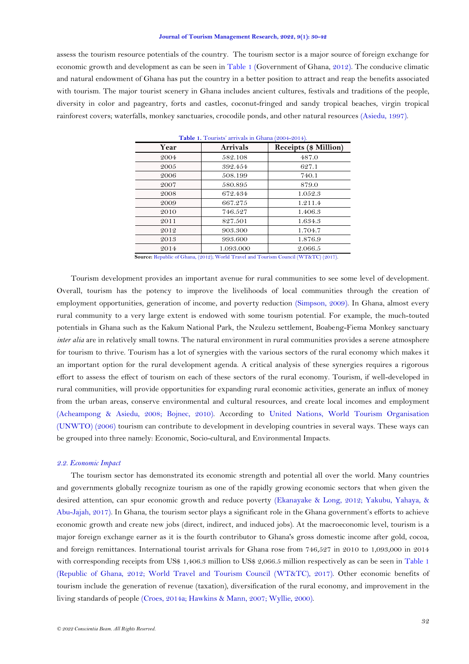assess the tourism resource potentials of the country. The tourism sector is a major source of foreign exchange for economic growth and development as can be seen in [Table 1](#page-2-0) [\(Government of Ghana, 2012\)](#page-11-4). The conducive climatic and natural endowment of Ghana has put the country in a better position to attract and reap the benefits associated with tourism. The major tourist scenery in Ghana includes ancient cultures, festivals and traditions of the people, diversity in color and pageantry, forts and castles, coconut-fringed and sandy tropical beaches, virgin tropical rainforest covers; waterfalls, monkey sanctuaries, crocodile ponds, and other natural resources [\(Asiedu, 1997\)](#page-11-5).

<span id="page-2-0"></span>

| Year | <b>Arrivals</b> | Receipts (\$ Million) |
|------|-----------------|-----------------------|
| 2004 | 582.108         | 487.0                 |
| 2005 | 392.454         | 627.1                 |
| 2006 | 508.199         | 740.1                 |
| 2007 | 580.895         | 879.0                 |
| 2008 | 672.434         | 1.052.3               |
| 2009 | 667.275         | 1.211.4               |
| 2010 | 746.527         | 1.406.3               |
| 2011 | 827.501         | 1.634.3               |
| 2012 | 903.300         | 1.704.7               |
| 2013 | 993.600         | 1.876.9               |
| 2014 | 1.093.000       | 2.066.5               |

**Source:** [Republic of Ghana, \(2012\);](#page-12-13) [World Travel and Tourism Council \(WT&TC\) \(2017\).](#page-12-14)

Tourism development provides an important avenue for rural communities to see some level of development. Overall, tourism has the potency to improve the livelihoods of local communities through the creation of employment opportunities, generation of income, and poverty reduction [\(Simpson, 2009\)](#page-12-15). In Ghana, almost every rural community to a very large extent is endowed with some tourism potential. For example, the much-touted potentials in Ghana such as the Kakum National Park, the Nzulezu settlement, Boabeng-Fiema Monkey sanctuary *inter alia* are in relatively small towns. The natural environment in rural communities provides a serene atmosphere for tourism to thrive. Tourism has a lot of synergies with the various sectors of the rural economy which makes it an important option for the rural development agenda. A critical analysis of these synergies requires a rigorous effort to assess the effect of tourism on each of these sectors of the rural economy. Tourism, if well-developed in rural communities, will provide opportunities for expanding rural economic activities, generate an influx of money from the urban areas, conserve environmental and cultural resources, and create local incomes and employment [\(Acheampong & Asiedu, 2008;](#page-11-6) [Bojnec, 2010\)](#page-11-7). According to [United Nations, World Tourism Organisation](#page-12-16)  [\(UNWTO\) \(2006\)](#page-12-16) tourism can contribute to development in developing countries in several ways. These ways can be grouped into three namely: Economic, Socio-cultural, and Environmental Impacts.

### *2.2. Economic Impact*

The tourism sector has demonstrated its economic strength and potential all over the world. Many countries and governments globally recognize tourism as one of the rapidly growing economic sectors that when given the desired attention, can spur economic growth and reduce poverty [\(Ekanayake & Long, 2012;](#page-11-3) [Yakubu, Yahaya, &](#page-12-17)  [Abu-Jajah, 2017\)](#page-12-17). In Ghana, the tourism sector plays a significant role in the Ghana government's efforts to achieve economic growth and create new jobs (direct, indirect, and induced jobs). At the macroeconomic level, tourism is a major foreign exchange earner as it is the fourth contributor to Ghana's gross domestic income after gold, cocoa, and foreign remittances. International tourist arrivals for Ghana rose from 746,527 in 2010 to 1,093,000 in 2014 with corresponding receipts from US\$ 1,406.3 million to US\$ 2,066.5 million respectively as can be seen in [Table 1](#page-2-0) [\(Republic of Ghana, 2012;](#page-12-13) [World Travel and Tourism Council \(WT&TC\), 2017\)](#page-12-14). Other economic benefits of tourism include the generation of revenue (taxation), diversification of the rural economy, and improvement in the living standards of people [\(Croes,](#page-11-8) 2014a[; Hawkins & Mann, 2007;](#page-11-9) [Wyllie, 2000\)](#page-12-18).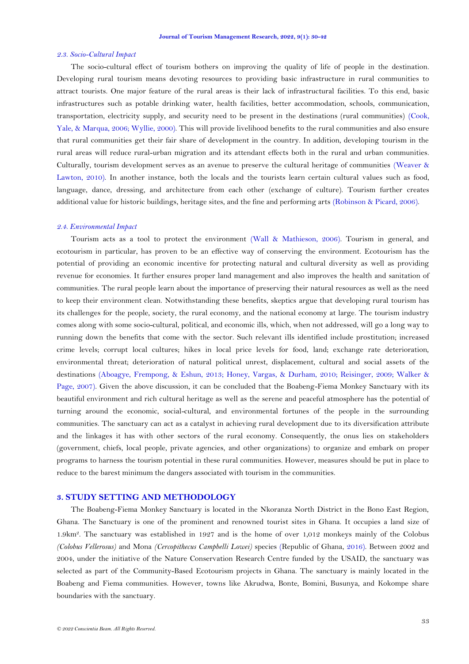#### *2.3. Socio-Cultural Impact*

The socio-cultural effect of tourism bothers on improving the quality of life of people in the destination. Developing rural tourism means devoting resources to providing basic infrastructure in rural communities to attract tourists. One major feature of the rural areas is their lack of infrastructural facilities. To this end, basic infrastructures such as potable drinking water, health facilities, better accommodation, schools, communication, transportation, electricity supply, and security need to be present in the destinations (rural communities) [\(Cook,](#page-11-10)  [Yale, & Marqua, 2006;](#page-11-10) [Wyllie, 2000\)](#page-12-18). This will provide livelihood benefits to the rural communities and also ensure that rural communities get their fair share of development in the country. In addition, developing tourism in the rural areas will reduce rural-urban migration and its attendant effects both in the rural and urban communities. Culturally, tourism development serves as an avenue to preserve the cultural heritage of communities [\(Weaver &](#page-12-19)  [Lawton, 2010\)](#page-12-19). In another instance, both the locals and the tourists learn certain cultural values such as food, language, dance, dressing, and architecture from each other (exchange of culture). Tourism further creates additional value for historic buildings, heritage sites, and the fine and performing arts [\(Robinson & Picard, 2006\)](#page-12-20).

#### *2.4. Environmental Impact*

Tourism acts as a tool to protect the environment [\(Wall & Mathieson, 2006\)](#page-12-21). Tourism in general, and ecotourism in particular, has proven to be an effective way of conserving the environment. Ecotourism has the potential of providing an economic incentive for protecting natural and cultural diversity as well as providing revenue for economies. It further ensures proper land management and also improves the health and sanitation of communities. The rural people learn about the importance of preserving their natural resources as well as the need to keep their environment clean. Notwithstanding these benefits, skeptics argue that developing rural tourism has its challenges for the people, society, the rural economy, and the national economy at large. The tourism industry comes along with some socio-cultural, political, and economic ills, which, when not addressed, will go a long way to running down the benefits that come with the sector. Such relevant ills identified include prostitution; increased crime levels; corrupt local cultures; hikes in local price levels for food, land; exchange rate deterioration, environmental threat; deterioration of natural political unrest, displacement, cultural and social assets of the destinations [\(Aboagye, Frempong, & Eshun, 2013;](#page-11-11) [Honey, Vargas, & Durham, 2010;](#page-12-22) [Reisinger, 2009;](#page-12-23) [Walker &](#page-12-24)  [Page, 2007\)](#page-12-24). Given the above discussion, it can be concluded that the Boabeng-Fiema Monkey Sanctuary with its beautiful environment and rich cultural heritage as well as the serene and peaceful atmosphere has the potential of turning around the economic, social-cultural, and environmental fortunes of the people in the surrounding communities. The sanctuary can act as a catalyst in achieving rural development due to its diversification attribute and the linkages it has with other sectors of the rural economy. Consequently, the onus lies on stakeholders (government, chiefs, local people, private agencies, and other organizations) to organize and embark on proper programs to harness the tourism potential in these rural communities. However, measures should be put in place to reduce to the barest minimum the dangers associated with tourism in the communities.

## **3. STUDY SETTING AND METHODOLOGY**

The Boabeng-Fiema Monkey Sanctuary is located in the Nkoranza North District in the Bono East Region, Ghana. The Sanctuary is one of the prominent and renowned tourist sites in Ghana. It occupies a land size of 1.9km<sup>2</sup> . The sanctuary was established in 1927 and is the home of over 1,012 monkeys mainly of the Colobus *(Colobus Vellerosus)* and Mona *(Cercopithecus Campbelli Lowei)* species [\(Republic of Ghana,](#page-12-25) 2016). Between 2002 and 2004, under the initiative of the Nature Conservation Research Centre funded by the USAID, the sanctuary was selected as part of the Community-Based Ecotourism projects in Ghana. The sanctuary is mainly located in the Boabeng and Fiema communities. However, towns like Akrudwa, Bonte, Bomini, Busunya, and Kokompe share boundaries with the sanctuary.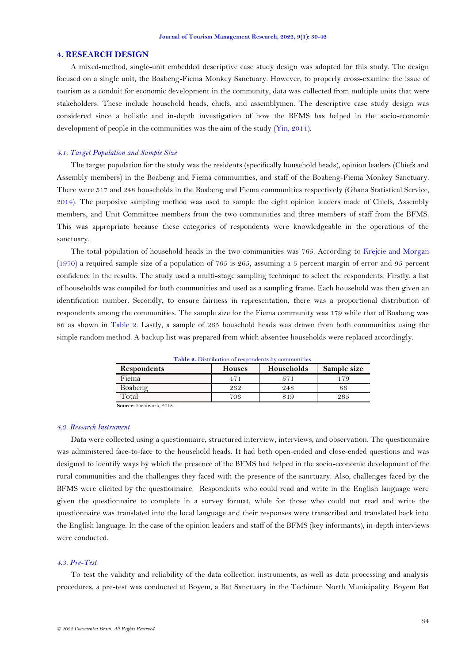### **4. RESEARCH DESIGN**

A mixed-method, single-unit embedded descriptive case study design was adopted for this study. The design focused on a single unit, the Boabeng-Fiema Monkey Sanctuary. However, to properly cross-examine the issue of tourism as a conduit for economic development in the community, data was collected from multiple units that were stakeholders. These include household heads, chiefs, and assemblymen. The descriptive case study design was considered since a holistic and in-depth investigation of how the BFMS has helped in the socio-economic development of people in the communities was the aim of the study [\(Yin, 2014\)](#page-12-26).

### *4.1. Target Population and Sample Size*

The target population for the study was the residents (specifically household heads), opinion leaders (Chiefs and Assembly members) in the Boabeng and Fiema communities, and staff of the Boabeng-Fiema Monkey Sanctuary. There were 517 and 248 households in the Boabeng and Fiema communities respectively [\(Ghana Statistical Service,](#page-11-12) [2014\)](#page-11-12). The purposive sampling method was used to sample the eight opinion leaders made of Chiefs, Assembly members, and Unit Committee members from the two communities and three members of staff from the BFMS. This was appropriate because these categories of respondents were knowledgeable in the operations of the sanctuary.

The total population of household heads in the two communities was 765. According to [Krejcie and Morgan](#page-12-27)  [\(1970\)](#page-12-27) a required sample size of a population of 765 is 265, assuming a 5 percent margin of error and 95 percent confidence in the results. The study used a multi-stage sampling technique to select the respondents. Firstly, a list of households was compiled for both communities and used as a sampling frame. Each household was then given an identification number. Secondly, to ensure fairness in representation, there was a proportional distribution of respondents among the communities. The sample size for the Fiema community was 179 while that of Boabeng was 86 as shown in [Table 2.](#page-4-0) Lastly, a sample of 265 household heads was drawn from both communities using the simple random method. A backup list was prepared from which absentee households were replaced accordingly.

<span id="page-4-0"></span>

| <b>Respondents</b> | <b>Houses</b> | Sample size |     |  |
|--------------------|---------------|-------------|-----|--|
| Fiema              | 471           |             | 79  |  |
| Boabeng            | 232           | 248         |     |  |
| Total              | 703           | 819         | 265 |  |

**Table 2.** Distribution of respondents by communities.

**Source:** Fieldwork, 2018.

### *4.2. Research Instrument*

Data were collected using a questionnaire, structured interview, interviews, and observation. The questionnaire was administered face-to-face to the household heads. It had both open-ended and close-ended questions and was designed to identify ways by which the presence of the BFMS had helped in the socio-economic development of the rural communities and the challenges they faced with the presence of the sanctuary. Also, challenges faced by the BFMS were elicited by the questionnaire. Respondents who could read and write in the English language were given the questionnaire to complete in a survey format, while for those who could not read and write the questionnaire was translated into the local language and their responses were transcribed and translated back into the English language. In the case of the opinion leaders and staff of the BFMS (key informants), in-depth interviews were conducted.

### *4.3. Pre-Test*

To test the validity and reliability of the data collection instruments, as well as data processing and analysis procedures, a pre-test was conducted at Boyem, a Bat Sanctuary in the Techiman North Municipality. Boyem Bat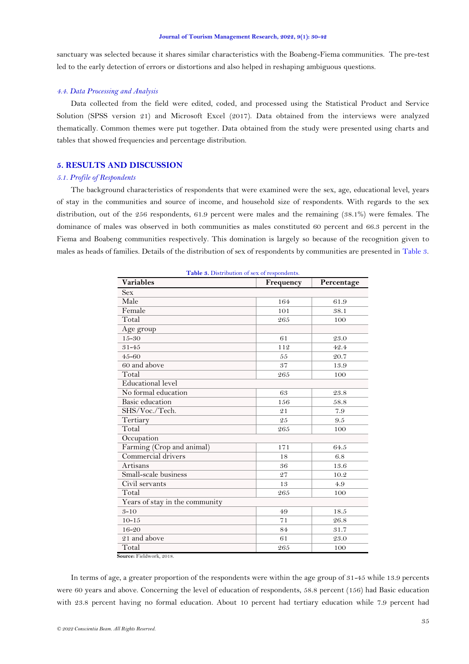sanctuary was selected because it shares similar characteristics with the Boabeng-Fiema communities. The pre-test led to the early detection of errors or distortions and also helped in reshaping ambiguous questions.

## *4.4. Data Processing and Analysis*

Data collected from the field were edited, coded, and processed using the Statistical Product and Service Solution (SPSS version 21) and Microsoft Excel (2017). Data obtained from the interviews were analyzed thematically. Common themes were put together. Data obtained from the study were presented using charts and tables that showed frequencies and percentage distribution.

## **5. RESULTS AND DISCUSSION**

## *5.1. Profile of Respondents*

The background characteristics of respondents that were examined were the sex, age, educational level, years of stay in the communities and source of income, and household size of respondents. With regards to the sex distribution, out of the 256 respondents, 61.9 percent were males and the remaining (38.1%) were females. The dominance of males was observed in both communities as males constituted 60 percent and 66.3 percent in the Fiema and Boabeng communities respectively. This domination is largely so because of the recognition given to males as heads of families. Details of the distribution of sex of respondents by communities are presented in [Table 3.](#page-5-0)

<span id="page-5-0"></span>

| <b>rable 3.</b> Distribution of sex of respondents.<br><b>Variables</b> | Frequency | Percentage |  |  |  |  |  |  |
|-------------------------------------------------------------------------|-----------|------------|--|--|--|--|--|--|
| <b>Sex</b>                                                              |           |            |  |  |  |  |  |  |
| Male                                                                    | 164       | 61.9       |  |  |  |  |  |  |
| Female                                                                  | 101       | 38.1       |  |  |  |  |  |  |
| Total                                                                   | 265       | 100        |  |  |  |  |  |  |
| Age group                                                               |           |            |  |  |  |  |  |  |
| $15 - 30$                                                               | 61        | 23.0       |  |  |  |  |  |  |
| $31 - 45$                                                               | 112       | 42.4       |  |  |  |  |  |  |
| $45 - 60$                                                               | 55        | 20.7       |  |  |  |  |  |  |
| 60 and above                                                            | 37        | 13.9       |  |  |  |  |  |  |
| Total                                                                   | 265       | 100        |  |  |  |  |  |  |
| <b>Educational</b> level                                                |           |            |  |  |  |  |  |  |
| No formal education                                                     | 63        | 23.8       |  |  |  |  |  |  |
| Basic education                                                         | 156       | 58.8       |  |  |  |  |  |  |
| SHS/Voc./Tech.                                                          | 21        | 7.9        |  |  |  |  |  |  |
| Tertiary                                                                | 25        | 9.5        |  |  |  |  |  |  |
| Total                                                                   | 265       | 100        |  |  |  |  |  |  |
| Occupation                                                              |           |            |  |  |  |  |  |  |
| Farming (Crop and animal)                                               | 171       | 64.5       |  |  |  |  |  |  |
| Commercial drivers                                                      | 18        | 6.8        |  |  |  |  |  |  |
| Artisans                                                                | 36        | 13.6       |  |  |  |  |  |  |
| Small-scale business                                                    | 27        | 10.2       |  |  |  |  |  |  |
| Civil servants                                                          | 13        | 4.9        |  |  |  |  |  |  |
| Total                                                                   | 265       | 100        |  |  |  |  |  |  |
| Years of stay in the community                                          |           |            |  |  |  |  |  |  |
| $3 - 10$                                                                | 49        | 18.5       |  |  |  |  |  |  |
| $10 - 15$                                                               | 71        | 26.8       |  |  |  |  |  |  |
| $16 - 20$                                                               | 84        | 31.7       |  |  |  |  |  |  |
| 21 and above                                                            | 61        | 23.0       |  |  |  |  |  |  |
| Total                                                                   | 265       | 100        |  |  |  |  |  |  |

**Table 3.** Distribution of sex of respondents

**Source:** Fieldwork, 2018.

In terms of age, a greater proportion of the respondents were within the age group of 31-45 while 13.9 percents were 60 years and above. Concerning the level of education of respondents, 58.8 percent (156) had Basic education with 23.8 percent having no formal education. About 10 percent had tertiary education while 7.9 percent had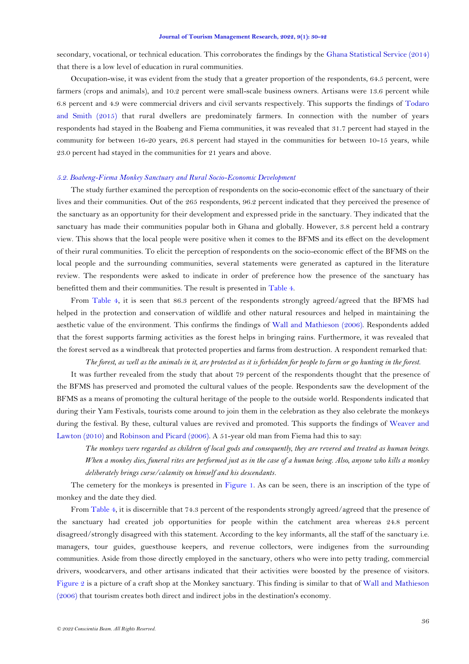secondary, vocational, or technical education. This corroborates the findings by the [Ghana Statistical Service \(2014\)](#page-11-12) that there is a low level of education in rural communities.

Occupation-wise, it was evident from the study that a greater proportion of the respondents, 64.5 percent, were farmers (crops and animals), and 10.2 percent were small-scale business owners. Artisans were 13.6 percent while 6.8 percent and 4.9 were commercial drivers and civil servants respectively. This supports the findings of [Todaro](#page-12-0)  [and Smith \(2015\)](#page-12-0) that rural dwellers are predominately farmers. In connection with the number of years respondents had stayed in the Boabeng and Fiema communities, it was revealed that 31.7 percent had stayed in the community for between 16-20 years, 26.8 percent had stayed in the communities for between 10-15 years, while 23.0 percent had stayed in the communities for 21 years and above.

## *5.2. Boabeng-Fiema Monkey Sanctuary and Rural Socio-Economic Development*

The study further examined the perception of respondents on the socio-economic effect of the sanctuary of their lives and their communities. Out of the 265 respondents, 96.2 percent indicated that they perceived the presence of the sanctuary as an opportunity for their development and expressed pride in the sanctuary. They indicated that the sanctuary has made their communities popular both in Ghana and globally. However, 3.8 percent held a contrary view. This shows that the local people were positive when it comes to the BFMS and its effect on the development of their rural communities. To elicit the perception of respondents on the socio-economic effect of the BFMS on the local people and the surrounding communities, several statements were generated as captured in the literature review. The respondents were asked to indicate in order of preference how the presence of the sanctuary has benefitted them and their communities. The result is presented in [Table 4.](#page-7-0)

From [Table 4,](#page-7-0) it is seen that 86.3 percent of the respondents strongly agreed/agreed that the BFMS had helped in the protection and conservation of wildlife and other natural resources and helped in maintaining the aesthetic value of the environment. This confirms the findings of [Wall and Mathieson](#page-12-21) (2006). Respondents added that the forest supports farming activities as the forest helps in bringing rains. Furthermore, it was revealed that the forest served as a windbreak that protected properties and farms from destruction. A respondent remarked that:

*The forest, as well as the animals in it, are protected as it is forbidden for people to farm or go hunting in the forest.*

It was further revealed from the study that about 79 percent of the respondents thought that the presence of the BFMS has preserved and promoted the cultural values of the people. Respondents saw the development of the BFMS as a means of promoting the cultural heritage of the people to the outside world. Respondents indicated that during their Yam Festivals, tourists come around to join them in the celebration as they also celebrate the monkeys during the festival. By these, cultural values are revived and promoted. This supports the findings of [Weaver and](#page-12-19)  [Lawton \(2010\)](#page-12-19) an[d Robinson and Picard \(2006\)](#page-12-20). A 51-year old man from Fiema had this to say:

*The monkeys were regarded as children of local gods and consequently, they are revered and treated as human beings. When a monkey dies, funeral rites are performed just as in the case of a human being. Also, anyone who kills a monkey deliberately brings curse/calamity on himself and his descendants.*

The cemetery for the monkeys is presented in [Figure](#page-7-1) 1. As can be seen, there is an inscription of the type of monkey and the date they died.

From [Table 4,](#page-7-0) it is discernible that 74.3 percent of the respondents strongly agreed/agreed that the presence of the sanctuary had created job opportunities for people within the catchment area whereas 24.8 percent disagreed/strongly disagreed with this statement. According to the key informants, all the staff of the sanctuary i.e. managers, tour guides, guesthouse keepers, and revenue collectors, were indigenes from the surrounding communities. Aside from those directly employed in the sanctuary, others who were into petty trading, commercial drivers, woodcarvers, and other artisans indicated that their activities were boosted by the presence of visitors. [Figure 2](#page-7-2) is a picture of a craft shop at the Monkey sanctuary. This finding is similar to that of [Wall and Mathieson](#page-12-21)  [\(2006\)](#page-12-21) that tourism creates both direct and indirect jobs in the destination's economy.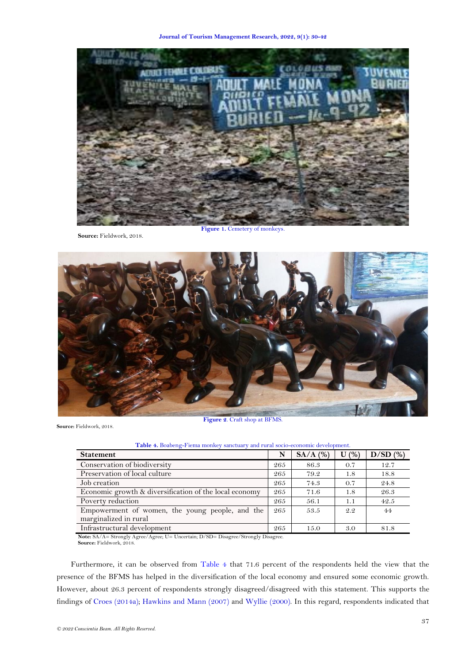**Journal of Tourism Management Research, 2022, 9(1): 30-42**



**Source:** Fieldwork, 2018.

<span id="page-7-1"></span>**Figure 1. Cemetery of monkeys** 



<span id="page-7-2"></span><span id="page-7-0"></span>**Source:** Fieldwork, 2018.

| Table 4. Boabeng-Fiema monkey sanctuary and rural socio-economic development. |     |            |      |            |  |  |  |
|-------------------------------------------------------------------------------|-----|------------|------|------------|--|--|--|
| <b>Statement</b>                                                              | N   | $SA/A$ (%) | U(%) | $D/SD$ (%) |  |  |  |
| Conservation of biodiversity                                                  | 265 | 86.3       | 0.7  | 12.7       |  |  |  |
| Preservation of local culture                                                 | 265 | 79.2       | 1.8  | 18.8       |  |  |  |
| Job creation                                                                  | 265 | 74.3       | 0.7  | 24.8       |  |  |  |
| Economic growth & diversification of the local economy                        | 265 | 71.6       | 1.8  | 26.3       |  |  |  |
| Poverty reduction                                                             | 265 | 56.1       | 1.1  | 42.5       |  |  |  |
| Empowerment of women, the young people, and the                               | 265 | 53.5       | 2.2  | 44         |  |  |  |
| marginalized in rural                                                         |     |            |      |            |  |  |  |
| Infrastructural development                                                   | 265 | 15.0       | 3.0  | 81.8       |  |  |  |

**Note:** SA/A= Strongly Agree/Agree; U= Uncertain; D/SD= Disagree/Strongly Disagree. **Source:** Fieldwork, 2018.

Furthermore, it can be observed from [Table 4](#page-7-0) that 71.6 percent of the respondents held the view that the presence of the BFMS has helped in the diversification of the local economy and ensured some economic growth. However, about 26.3 percent of respondents strongly disagreed/disagreed with this statement. This supports the findings of Croes [\(2014a\)](#page-11-8); [Hawkins and Mann \(2007\)](#page-11-9) and [Wyllie \(2000\)](#page-12-18). In this regard, respondents indicated that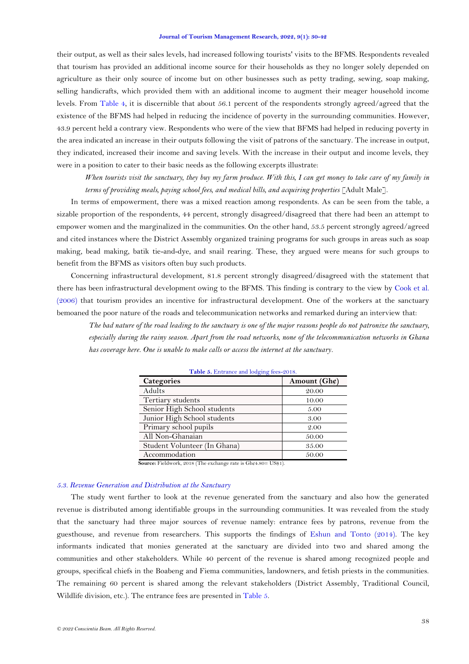their output, as well as their sales levels, had increased following tourists' visits to the BFMS. Respondents revealed that tourism has provided an additional income source for their households as they no longer solely depended on agriculture as their only source of income but on other businesses such as petty trading, sewing, soap making, selling handicrafts, which provided them with an additional income to augment their meager household income levels. From [Table 4,](#page-7-0) it is discernible that about 56.1 percent of the respondents strongly agreed/agreed that the existence of the BFMS had helped in reducing the incidence of poverty in the surrounding communities. However, 43.9 percent held a contrary view. Respondents who were of the view that BFMS had helped in reducing poverty in the area indicated an increase in their outputs following the visit of patrons of the sanctuary. The increase in output, they indicated, increased their income and saving levels. With the increase in their output and income levels, they were in a position to cater to their basic needs as the following excerpts illustrate:

*When tourists visit the sanctuary, they buy my farm produce. With this, I can get money to take care of my family in terms of providing meals, paying school fees, and medical bills, and acquiring properties* [Adult Male].

In terms of empowerment, there was a mixed reaction among respondents. As can be seen from the table, a sizable proportion of the respondents, 44 percent, strongly disagreed/disagreed that there had been an attempt to empower women and the marginalized in the communities. On the other hand, 53.5 percent strongly agreed/agreed and cited instances where the District Assembly organized training programs for such groups in areas such as soap making, bead making, batik tie-and-dye, and snail rearing. These, they argued were means for such groups to benefit from the BFMS as visitors often buy such products.

Concerning infrastructural development, 81.8 percent strongly disagreed/disagreed with the statement that there has been infrastructural development owing to the BFMS. This finding is contrary to the view by [Cook et al.](#page-11-10)  [\(2006\)](#page-11-10) that tourism provides an incentive for infrastructural development. One of the workers at the sanctuary bemoaned the poor nature of the roads and telecommunication networks and remarked during an interview that:

<span id="page-8-0"></span>*The bad nature of the road leading to the sanctuary is one of the major reasons people do not patronize the sanctuary, especially during the rainy season. Apart from the road networks, none of the telecommunication networks in Ghana has coverage here. One is unable to make calls or access the internet at the sanctuary.*

| <b>Categories</b>            | Amount $(Gh\phi)$ |  |  |  |
|------------------------------|-------------------|--|--|--|
| Adults                       | 20.00             |  |  |  |
| Tertiary students            | 10.00             |  |  |  |
| Senior High School students  | 5.00              |  |  |  |
| Junior High School students  | 3.00              |  |  |  |
| Primary school pupils        | 2.00              |  |  |  |
| All Non-Ghanaian             | 50.00             |  |  |  |
| Student Volunteer (In Ghana) | 35.00             |  |  |  |
| Accommodation                | 50.00             |  |  |  |

|  |  | Table 5. Entrance and lodging fees-2018. |  |  |  |  |
|--|--|------------------------------------------|--|--|--|--|
|  |  |                                          |  |  |  |  |

**Source:** Fieldwork, 2018 (The exchange rate is Gh¢4.80= US\$1).

## *5.3. Revenue Generation and Distribution at the Sanctuary*

The study went further to look at the revenue generated from the sanctuary and also how the generated revenue is distributed among identifiable groups in the surrounding communities. It was revealed from the study that the sanctuary had three major sources of revenue namely: entrance fees by patrons, revenue from the guesthouse, and revenue from researchers. This supports the findings of [Eshun and Tonto \(2014\)](#page-11-13). The key informants indicated that monies generated at the sanctuary are divided into two and shared among the communities and other stakeholders. While 40 percent of the revenue is shared among recognized people and groups, specifical chiefs in the Boabeng and Fiema communities, landowners, and fetish priests in the communities. The remaining 60 percent is shared among the relevant stakeholders (District Assembly, Traditional Council, Wildlife division, etc.). The entrance fees are presented i[n Table 5.](#page-8-0)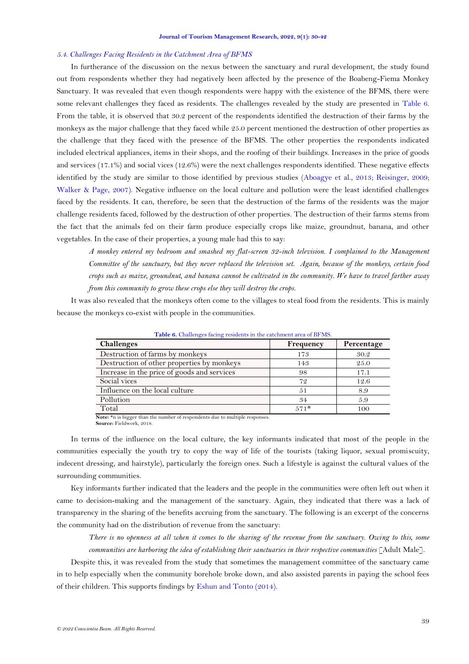#### *5.4. Challenges Facing Residents in the Catchment Area of BFMS*

In furtherance of the discussion on the nexus between the sanctuary and rural development, the study found out from respondents whether they had negatively been affected by the presence of the Boabeng-Fiema Monkey Sanctuary. It was revealed that even though respondents were happy with the existence of the BFMS, there were some relevant challenges they faced as residents. The challenges revealed by the study are presented in [Table 6.](#page-9-0) From the table, it is observed that 30.2 percent of the respondents identified the destruction of their farms by the monkeys as the major challenge that they faced while 25.0 percent mentioned the destruction of other properties as the challenge that they faced with the presence of the BFMS. The other properties the respondents indicated included electrical appliances, items in their shops, and the roofing of their buildings. Increases in the price of goods and services (17.1%) and social vices (12.6%) were the next challenges respondents identified. These negative effects identified by the study are similar to those identified by previous studies [\(Aboagye et al., 2013;](#page-11-11) [Reisinger, 2009;](#page-12-23) [Walker & Page, 2007\)](#page-12-24). Negative influence on the local culture and pollution were the least identified challenges faced by the residents. It can, therefore, be seen that the destruction of the farms of the residents was the major challenge residents faced, followed by the destruction of other properties. The destruction of their farms stems from the fact that the animals fed on their farm produce especially crops like maize, groundnut, banana, and other vegetables. In the case of their properties, a young male had this to say:

*A monkey entered my bedroom and smashed my flat-screen 32-inch television. I complained to the Management Committee of the sanctuary, but they never replaced the television set. Again, because of the monkeys, certain food crops such as maize, groundnut, and banana cannot be cultivated in the community. We have to travel farther away from this community to grow these crops else they will destroy the crops.*

<span id="page-9-0"></span>It was also revealed that the monkeys often come to the villages to steal food from the residents. This is mainly because the monkeys co-exist with people in the communities.

| <b>Table 6.</b> Challenges facing residents in the catchment area of BFMS.<br><b>Challenges</b> | Frequency | Percentage |  |
|-------------------------------------------------------------------------------------------------|-----------|------------|--|
|                                                                                                 |           |            |  |
| Destruction of farms by monkeys                                                                 | 173       | 30.2       |  |
| Destruction of other properties by monkeys                                                      | 143       | 25.0       |  |
| Increase in the price of goods and services                                                     | 98        | 17.1       |  |
| Social vices                                                                                    | 72        | 12.6       |  |
| Influence on the local culture                                                                  | 51        | 8.9        |  |
| Pollution                                                                                       | 34        | 5.9        |  |
| Total                                                                                           | $571*$    | 100        |  |

**Table 6.** Challenges facing residents in the catchment area of BFMS.

**Note:** \*n is bigger than the number of respondents due to multiple responses. **Source:** Fieldwork, 2018.

In terms of the influence on the local culture, the key informants indicated that most of the people in the communities especially the youth try to copy the way of life of the tourists (taking liquor, sexual promiscuity, indecent dressing, and hairstyle), particularly the foreign ones. Such a lifestyle is against the cultural values of the surrounding communities.

Key informants further indicated that the leaders and the people in the communities were often left out when it came to decision-making and the management of the sanctuary. Again, they indicated that there was a lack of transparency in the sharing of the benefits accruing from the sanctuary. The following is an excerpt of the concerns the community had on the distribution of revenue from the sanctuary:

*There is no openness at all when it comes to the sharing of the revenue from the sanctuary. Owing to this, some communities are harboring the idea of establishing their sanctuaries in their respective communities* [Adult Male].

Despite this, it was revealed from the study that sometimes the management committee of the sanctuary came in to help especially when the community borehole broke down, and also assisted parents in paying the school fees of their children. This supports findings b[y Eshun and Tonto \(2014\)](#page-11-13).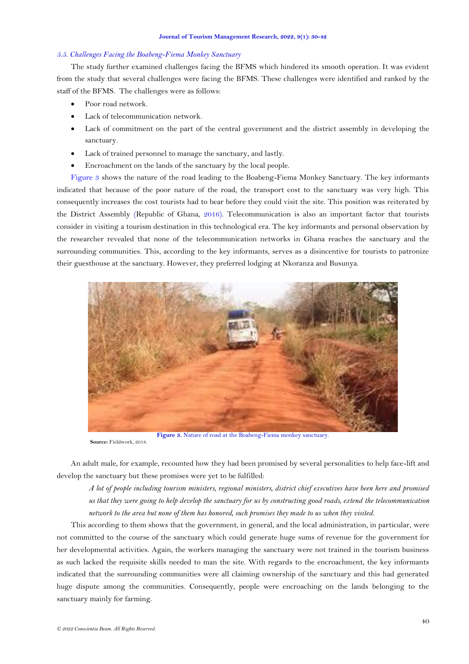#### *5.5. Challenges Facing the Boabeng-Fiema Monkey Sanctuary*

The study further examined challenges facing the BFMS which hindered its smooth operation. It was evident from the study that several challenges were facing the BFMS. These challenges were identified and ranked by the staff of the BFMS. The challenges were as follows:

- Poor road network.
- Lack of telecommunication network.
- Lack of commitment on the part of the central government and the district assembly in developing the sanctuary.
- Lack of trained personnel to manage the sanctuary, and lastly.
- Encroachment on the lands of the sanctuary by the local people.

[Figure](#page-10-0) 3 shows the nature of the road leading to the Boabeng-Fiema Monkey Sanctuary. The key informants indicated that because of the poor nature of the road, the transport cost to the sanctuary was very high. This consequently increases the cost tourists had to bear before they could visit the site. This position was reiterated by the District Assembly [\(Republic of Ghana,](#page-12-25) 2016). Telecommunication is also an important factor that tourists consider in visiting a tourism destination in this technological era. The key informants and personal observation by the researcher revealed that none of the telecommunication networks in Ghana reaches the sanctuary and the surrounding communities. This, according to the key informants, serves as a disincentive for tourists to patronize their guesthouse at the sanctuary. However, they preferred lodging at Nkoranza and Busunya.



**Figure 3.** Nature of road at the Boabeng-Fiema monkey sanctuary. **Source:** Fieldwork, 2018.

<span id="page-10-0"></span>An adult male, for example, recounted how they had been promised by several personalities to help face-lift and develop the sanctuary but these promises were yet to be fulfilled:

*A lot of people including tourism ministers, regional ministers, district chief executives have been here and promised us that they were going to help develop the sanctuary for us by constructing good roads, extend the telecommunication network to the area but none of them has honored, such promises they made to us when they visited.* 

This according to them shows that the government, in general, and the local administration, in particular, were not committed to the course of the sanctuary which could generate huge sums of revenue for the government for her developmental activities. Again, the workers managing the sanctuary were not trained in the tourism business as such lacked the requisite skills needed to man the site. With regards to the encroachment, the key informants indicated that the surrounding communities were all claiming ownership of the sanctuary and this had generated huge dispute among the communities. Consequently, people were encroaching on the lands belonging to the sanctuary mainly for farming.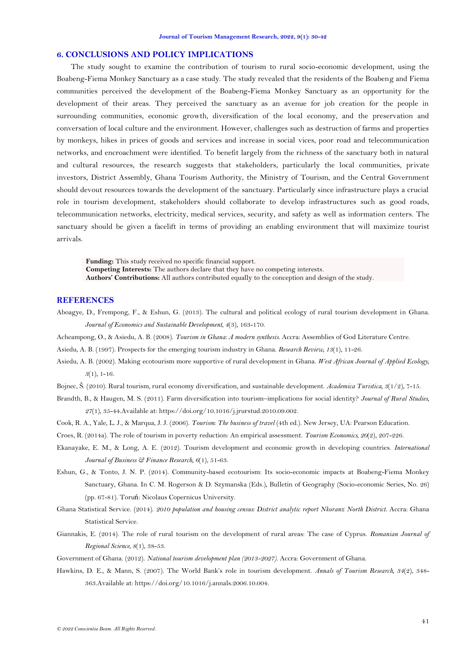### **6. CONCLUSIONS AND POLICY IMPLICATIONS**

The study sought to examine the contribution of tourism to rural socio-economic development, using the Boabeng-Fiema Monkey Sanctuary as a case study. The study revealed that the residents of the Boabeng and Fiema communities perceived the development of the Boabeng-Fiema Monkey Sanctuary as an opportunity for the development of their areas. They perceived the sanctuary as an avenue for job creation for the people in surrounding communities, economic growth, diversification of the local economy, and the preservation and conversation of local culture and the environment. However, challenges such as destruction of farms and properties by monkeys, hikes in prices of goods and services and increase in social vices, poor road and telecommunication networks, and encroachment were identified. To benefit largely from the richness of the sanctuary both in natural and cultural resources, the research suggests that stakeholders, particularly the local communities, private investors, District Assembly, Ghana Tourism Authority, the Ministry of Tourism, and the Central Government should devout resources towards the development of the sanctuary. Particularly since infrastructure plays a crucial role in tourism development, stakeholders should collaborate to develop infrastructures such as good roads, telecommunication networks, electricity, medical services, security, and safety as well as information centers. The sanctuary should be given a facelift in terms of providing an enabling environment that will maximize tourist arrivals.

**Funding:** This study received no specific financial support. **Competing Interests:** The authors declare that they have no competing interests. **Authors' Contributions:** All authors contributed equally to the conception and design of the study.

### **REFERENCES**

- <span id="page-11-11"></span>Aboagye, D., Frempong, F., & Eshun, G. (2013). The cultural and political ecology of rural tourism development in Ghana. *Journal of Economics and Sustainable Development, 4*(3), 163-170.
- <span id="page-11-6"></span>Acheampong, O., & Asiedu, A. B. (2008). *Tourism in Ghana: A modern synthesis*. Accra: Assemblies of God Literature Centre.
- <span id="page-11-5"></span>Asiedu, A. B. (1997). Prospects for the emerging tourism industry in Ghana. *Research Review, 13*(1), 11-26.
- <span id="page-11-2"></span>Asiedu, A. B. (2002). Making ecotourism more supportive of rural development in Ghana. *West African Journal of Applied Ecology, 3*(1), 1-16.
- <span id="page-11-7"></span>Bojnec, Š. (2010). Rural tourism, rural economy diversification, and sustainable development. *Academica Turistica, 3*(1/2), 7-15.

<span id="page-11-0"></span>Brandth, B., & Haugen, M. S. (2011). Farm diversification into tourism–implications for social identity? *Journal of Rural Studies, 27*(1), 35-44.Available at: https://doi.org/10.1016/j.jrurstud.2010.09.002.

- <span id="page-11-10"></span>Cook, R. A., Yale, L. J., & Marqua, J. J. (2006). *Tourism: The business of travel* (4th ed.). New Jersey, UA: Pearson Education.
- <span id="page-11-8"></span>Croes, R. (2014a). The role of tourism in poverty reduction: An empirical assessment. *Tourism Economics, 20*(2), 207-226.
- <span id="page-11-3"></span>Ekanayake, E. M., & Long, A. E. (2012). Tourism development and economic growth in developing countries. *International Journal of Business & Finance Research, 6*(1), 51-63.
- <span id="page-11-13"></span>Eshun, G., & Tonto, J. N. P. (2014). Community-based ecotourism: Its socio-economic impacts at Boabeng-Fiema Monkey Sanctuary, Ghana. In C. M. Rogerson & D. Szymanska (Eds.), Bulletin of Geography (Socio-economic Series, No. 26) (pp. 67-81). Toruń: Nicolaus Copernicus University.
- <span id="page-11-12"></span>Ghana Statistical Service. (2014). *2010 population and housing census: District analytic report Nkoranz North District*. Accra: Ghana Statistical Service.
- <span id="page-11-1"></span>Giannakis, E. (2014). The role of rural tourism on the development of rural areas: The case of Cyprus. *Romanian Journal of Regional Science, 8*(1), 38-53.
- <span id="page-11-4"></span>Government of Ghana. (2012). *National tourism development plan (2013-2027)*. Accra: Government of Ghana.
- <span id="page-11-9"></span>Hawkins, D. E., & Mann, S. (2007). The World Bank's role in tourism development. *Annals of Tourism Research, 34*(2), 348- 363.Available at: https://doi.org/10.1016/j.annals.2006.10.004.